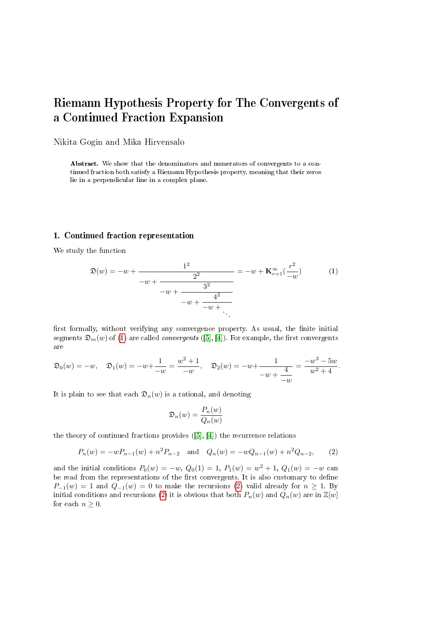# Riemann Hypothesis Property for The Convergents of a Continued Fraction Expansion

Nikita Gogin and Mika Hirvensalo

Abstract. We show that the denominators and numerators of convergents to a continued fraction both satisfy a Riemann Hypothesis property, meaning that their zeros lie in a perpendicular line in a complex plane.

# 1. Continued fraction representation

We study the function

<span id="page-0-0"></span>
$$
\mathfrak{D}(w) = -w + \frac{1^2}{-w + \frac{2^2}{-w + \frac{3^2}{-w + \frac{4^2}{-w + \dots}}}} = -w + \mathbf{K}_{r=1}^{\infty}(\frac{r^2}{-w})
$$
(1)

first formally, without verifying any convergence property. As usual, the finite initial segments  $\mathfrak{D}_m(w)$  of [\(1\)](#page-0-0) are called *convergents* ([\[5\]](#page-3-0), [\[4\]](#page-3-1)). For example, the first convergents are

$$
\mathfrak{D}_0(w) = -w, \quad \mathfrak{D}_1(w) = -w + \frac{1}{-w} = \frac{w^2 + 1}{-w}, \quad \mathfrak{D}_2(w) = -w + \frac{1}{-w + \frac{4}{-w}} = \frac{-w^3 - 5w}{w^2 + 4}.
$$

It is plain to see that each  $\mathfrak{D}_n(w)$  is a rational, and denoting

$$
\mathfrak{D}_n(w) = \frac{P_n(w)}{Q_n(w)}
$$

the theory of continued fractions provides ([\[5\]](#page-3-0), [\[4\]](#page-3-1)) the recurrence relations

<span id="page-0-1"></span>
$$
P_n(w) = -wP_{n-1}(w) + n^2 P_{n-2} \quad \text{and} \quad Q_n(w) = -wQ_{n-1}(w) + n^2 Q_{n-2}, \tag{2}
$$

and the initial conditions  $P_0(w) = -w$ ,  $Q_0(1) = 1$ ,  $P_1(w) = w^2 + 1$ ,  $Q_1(w) = -w$  can be read from the representations of the first convergents. It is also customary to define  $P_{-1}(w) = 1$  and  $Q_{-1}(w) = 0$  to make the recursions [\(2\)](#page-0-1) valid already for  $n \ge 1$ . By initial conditions and recursions [\(2\)](#page-0-1) it is obvious that both  $P_n(w)$  and  $Q_n(w)$  are in  $\mathbb{Z}[w]$ for each  $n \geq 0$ .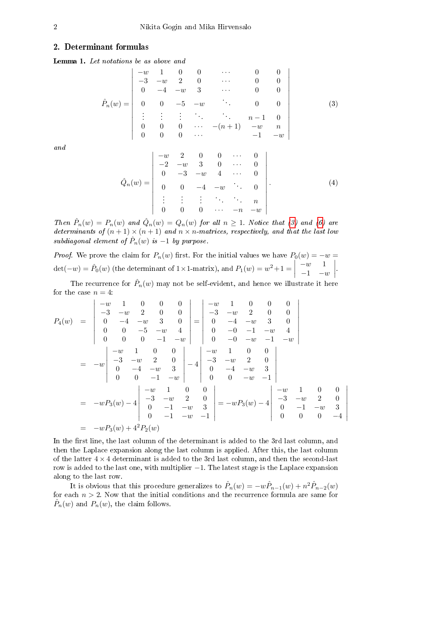#### 2. Determinant formulas

Lemma 1. Let notations be as above and

<span id="page-1-0"></span>
$$
\hat{P}_n(w) = \begin{vmatrix}\n-w & 1 & 0 & 0 & \cdots & 0 & 0 \\
-3 & -w & 2 & 0 & \cdots & 0 & 0 \\
0 & -4 & -w & 3 & \cdots & 0 & 0 \\
0 & 0 & -5 & -w & & 0 & 0 \\
\vdots & \vdots & \vdots & & & & n-1 & 0 \\
0 & 0 & 0 & \cdots & -(n+1) & -w & n \\
0 & 0 & 0 & \cdots & & -1 & -w\n\end{vmatrix}
$$
\n(3)

and

$$
\hat{Q}_n(w) = \begin{vmatrix}\n-w & 2 & 0 & 0 & \cdots & 0 \\
-2 & -w & 3 & 0 & \cdots & 0 \\
0 & -3 & -w & 4 & \cdots & 0 \\
0 & 0 & -4 & -w & 0 & 0 \\
\vdots & \vdots & \vdots & \ddots & \vdots & n \\
0 & 0 & 0 & \cdots & -n & -w\n\end{vmatrix}.
$$
\n(4)

Then  $\hat{P}_n(w) = P_n(w)$  and  $\hat{Q}_n(w) = Q_n(w)$  for all  $n \ge 1$ . Notice that [\(3\)](#page-1-0) and [\(6\)](#page-2-0) are determinants of  $(n+1) \times (n+1)$  and  $n \times n$ -matrices, respectively, and that the last low subdiagonal element of  $\hat{P}_n(w)$  is  $-1$  by purpose.

*Proof.* We prove the claim for  $P_n(w)$  first. For the initial values we have  $P_0(w) = -w =$  $\det(-w) = \hat{P}_0(w)$  (the determinant of 1×1-matrix), and  $P_1(w) = w^2 + 1 =$  $-w$  1  $-1$   $-w$  $\begin{array}{c} \hline \end{array}$ .

The recurrence for  $\hat{P}_n(w)$  may not be self-evident, and hence we illustrate it here for the case  $n = 4$ :

$$
P_4(w) = \begin{vmatrix} -w & 1 & 0 & 0 & 0 \\ -3 & -w & 2 & 0 & 0 \\ 0 & -4 & -w & 3 & 0 \\ 0 & 0 & -5 & -w & 4 \\ 0 & 0 & 0 & -1 & -w \end{vmatrix} = \begin{vmatrix} -w & 1 & 0 & 0 & 0 \\ -3 & -w & 2 & 0 & 0 \\ 0 & -4 & -w & 3 & 0 \\ 0 & -0 & -1 & -w & 4 \\ 0 & 0 & -0 & -w & -1 & -w \end{vmatrix}
$$
  
=  $-w \begin{vmatrix} -w & 1 & 0 & 0 \\ -3 & -w & 2 & 0 \\ 0 & -4 & -w & 3 \\ 0 & 0 & -1 & -w \end{vmatrix} - 4 \begin{vmatrix} -w & 1 & 0 & 0 \\ -3 & -w & 2 & 0 \\ 0 & -4 & -w & 3 \\ 0 & 0 & -w & -1 \end{vmatrix}$   
=  $-wP_3(w) - 4 \begin{vmatrix} -w & 1 & 0 & 0 \\ -3 & -w & 2 & 0 \\ 0 & -1 & -w & 3 \\ 0 & -1 & -w & -1 \end{vmatrix} = -wP_3(w) - 4 \begin{vmatrix} -w & 1 & 0 & 0 \\ -3 & -w & 2 & 0 \\ 0 & -1 & -w & 3 \\ 0 & 0 & 0 & -4 \end{vmatrix}$   
=  $-wP_3(w) + 4^2P_2(w)$ 

In the first line, the last column of the determinant is added to the 3rd last column, and then the Laplace expansion along the last column is applied. After this, the last column of the latter  $4 \times 4$  determinant is added to the 3rd last column, and then the second-last row is added to the last one, with multiplier −1. The latest stage is the Laplace expansion along to the last row.

It is obvious that this procedure generalizes to  $\hat{P}_n(w) = -w\hat{P}_{n-1}(w) + n^2\hat{P}_{n-2}(w)$ for each  $n > 2$ . Now that the initial conditions and the recurrence formula are same for  $\hat{P}_n(w)$  and  $P_n(w)$ , the claim follows.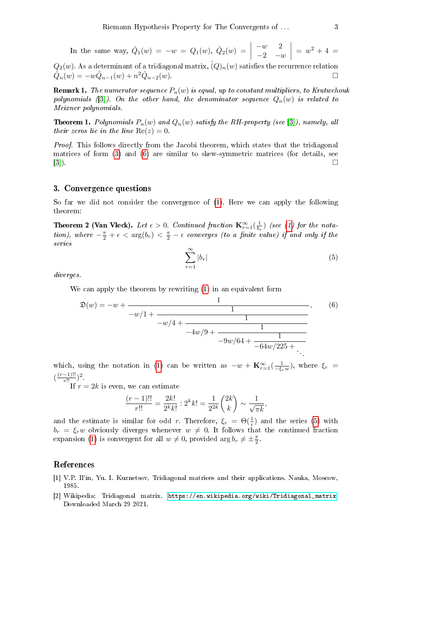In the same way, 
$$
\hat{Q}_1(w) = -w = Q_1(w)
$$
,  $\hat{Q}_2(w) = \begin{vmatrix} -w & 2 \\ -2 & -w \end{vmatrix} = w^2 + 4 =$ 

 $Q_2(w)$ . As a determinant of a tridiagonal matrix,  $\hat(Q)_n(w)$  satisfies the recurrence relation  $\hat{Q}_n(w) = -w\hat{Q}_{n-1}(w) + n^2\hat{Q}_{n-2}(w).$ 

**Remark 1.** The numerator sequence  $P_n(w)$  is equal, up to constant multipliers, to Kratwchouk polynomials ([\[3\]](#page-3-2)). On the other hand, the denominator sequence  $Q_n(w)$  is related to Meixner polynomials.

**Theorem 1.** Polynomials  $P_n(w)$  and  $Q_n(w)$  satisfy the RH-property (see [\[3\]](#page-3-2)), namely, all their zeros lie in the line  $Re(z) = 0$ .

Proof. This follows directly from the Jacobi theorem, which states that the tridiagonal matrices of form [\(3\)](#page-1-0) and [\(6\)](#page-2-0) are similar to skew-symmetric matrices (for details, see [\[3\]](#page-3-2)).

## 3. Convergence questions

So far we did not consider the convergence of [\(1\)](#page-0-0). Here we can apply the following theorem:

Theorem 2 (Van Vleck). Let  $\epsilon > 0$ . Continued fraction  $\mathbf{K}_{r=1}^{\infty}(\frac{1}{b_r})$  (see [\(1\)](#page-0-0) for the notation), where  $-\frac{\pi}{2}+\epsilon < \arg(b_r) < \frac{\pi}{2}-\epsilon$  converges (to a finite value) if and only if the series

<span id="page-2-1"></span>
$$
\sum_{r=1}^{\infty} |b_r| \tag{5}
$$

diverges.

We can apply the theorem by rewriting [\(1\)](#page-0-0) in an equivalent form

<span id="page-2-0"></span>
$$
\mathfrak{D}(w) = -w + \frac{1}{-w/1 + \frac{1}{-w/4 + \frac{1}{-4w/9 + \frac{1}{-9w/64 + \frac{1}{-64w/225 + \dots}}}}},\qquad(6)
$$

which, using the notation in [\(1\)](#page-0-0) can be written as  $-w + \mathbf{K}_{r=1}^{\infty}(\frac{1}{-\xi_r w})$ , where  $\xi_r =$  $\left(\frac{(r-1)!!}{r!!}\right)^2$ .

If  $r = 2k$  is even, we can estimate

$$
\frac{(r-1)!!}{r!!} = \frac{2k!}{2^k k!} : 2^k k! = \frac{1}{2^{2k}} \binom{2k}{k} \sim \frac{1}{\sqrt{\pi k}},
$$

and the estimate is similar for odd r. Therefore,  $\xi_r = \Theta(\frac{1}{r})$  and the series [\(5\)](#page-2-1) with  $b_r = \xi_r w$  obviously diverges whenever  $w \neq 0$ . It follows that the continued fraction expansion [\(1\)](#page-0-0) is convergent for all  $w \neq 0$ , provided  $\arg b_r \neq \pm \frac{\pi}{2}$ .

### References

- [1] V.P. Il'in, Yu. I. Kuznetsov, Tridiagonal matrices and their applications. Nauka, Moscow, 1985.
- [2] Wikipedia: Tridiagonal matrix. [https://en.wikipedia.org/wiki/Tridiagonal\\_matrix.](https://en.wikipedia.org/wiki/Tridiagonal_matrix) Downloaded March 29 2021.